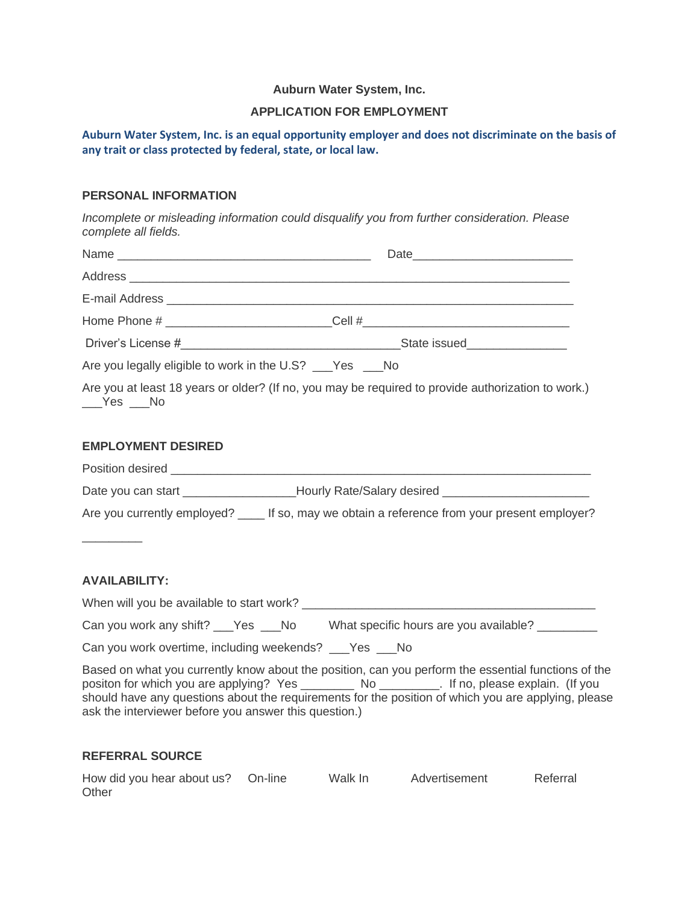## **Auburn Water System, Inc.**

#### **APPLICATION FOR EMPLOYMENT**

**Auburn Water System, Inc. is an equal opportunity employer and does not discriminate on the basis of any trait or class protected by federal, state, or local law.**

### **PERSONAL INFORMATION**

*Incomplete or misleading information could disqualify you from further consideration. Please complete all fields.*

| Home Phone # ___________________________Cell #__________________________________                               |                                                                                                                                                                                                                                                                                                               |
|----------------------------------------------------------------------------------------------------------------|---------------------------------------------------------------------------------------------------------------------------------------------------------------------------------------------------------------------------------------------------------------------------------------------------------------|
|                                                                                                                |                                                                                                                                                                                                                                                                                                               |
| Are you legally eligible to work in the U.S? __Yes __No                                                        |                                                                                                                                                                                                                                                                                                               |
| Are you at least 18 years or older? (If no, you may be required to provide authorization to work.)<br>$Yes$ No |                                                                                                                                                                                                                                                                                                               |
| <b>EMPLOYMENT DESIRED</b>                                                                                      |                                                                                                                                                                                                                                                                                                               |
|                                                                                                                |                                                                                                                                                                                                                                                                                                               |
| Date you can start ___________________Hourly Rate/Salary desired ________________                              |                                                                                                                                                                                                                                                                                                               |
|                                                                                                                | Are you currently employed? _____ If so, may we obtain a reference from your present employer?                                                                                                                                                                                                                |
| <b>AVAILABILITY:</b>                                                                                           |                                                                                                                                                                                                                                                                                                               |
|                                                                                                                |                                                                                                                                                                                                                                                                                                               |
|                                                                                                                | Can you work any shift? ___Yes ___No What specific hours are you available? ________                                                                                                                                                                                                                          |
| Can you work overtime, including weekends? ___ Yes ___ No                                                      |                                                                                                                                                                                                                                                                                                               |
| ask the interviewer before you answer this question.)                                                          | Based on what you currently know about the position, can you perform the essential functions of the<br>positon for which you are applying? Yes __________ No _________. If no, please explain. (If you<br>should have any questions about the requirements for the position of which you are applying, please |

### **REFERRAL SOURCE**

| How did you hear about us? On-line | Walk In | Advertisement | Referral |
|------------------------------------|---------|---------------|----------|
| Other                              |         |               |          |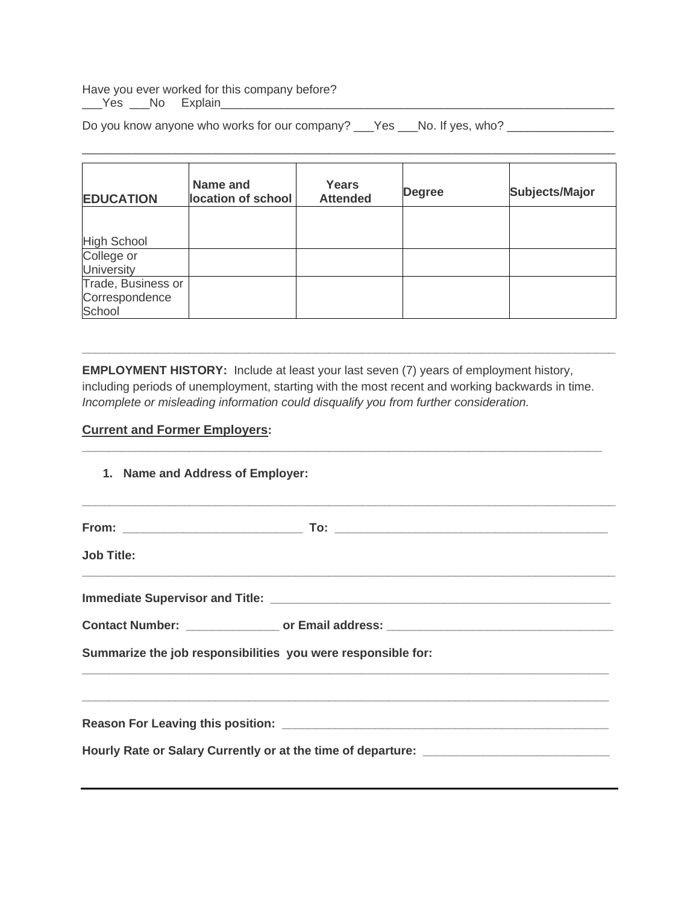Have you ever worked for this company before?

\_\_\_Yes \_\_\_No Explain\_\_\_\_\_\_\_\_\_\_\_\_\_\_\_\_\_\_\_\_\_\_\_\_\_\_\_\_\_\_\_\_\_\_\_\_\_\_\_\_\_\_\_\_\_\_\_\_\_\_\_\_\_\_\_\_\_\_\_

Do you know anyone who works for our company? \_\_\_Yes \_\_\_No. If yes, who? \_\_\_\_\_\_\_\_\_\_\_\_\_

| <b>EDUCATION</b>                               | Name and<br>location of school | Years<br><b>Attended</b> | <b>Degree</b> | <b>Subjects/Major</b> |
|------------------------------------------------|--------------------------------|--------------------------|---------------|-----------------------|
| <b>High School</b>                             |                                |                          |               |                       |
| College or<br><b>University</b>                |                                |                          |               |                       |
| Trade, Business or<br>Correspondence<br>School |                                |                          |               |                       |

\_\_\_\_\_\_\_\_\_\_\_\_\_\_\_\_\_\_\_\_\_\_\_\_\_\_\_\_\_\_\_\_\_\_\_\_\_\_\_\_\_\_\_\_\_\_\_\_\_\_\_\_\_\_\_\_\_\_\_\_\_\_\_\_\_\_\_\_\_\_\_\_\_\_\_\_\_\_\_\_

**EMPLOYMENT HISTORY:** Include at least your last seven (7) years of employment history, including periods of unemployment, starting with the most recent and working backwards in time. *Incomplete or misleading information could disqualify you from further consideration.*

**\_\_\_\_\_\_\_\_\_\_\_\_\_\_\_\_\_\_\_\_\_\_\_\_\_\_\_\_\_\_\_\_\_\_\_\_\_\_\_\_\_\_\_\_\_\_\_\_\_\_\_\_\_\_\_\_\_\_\_\_\_\_\_\_\_\_\_\_\_\_\_\_\_\_\_\_\_\_**

**\_\_\_\_\_\_\_\_\_\_\_\_\_\_\_\_\_\_\_\_\_\_\_\_\_\_\_\_\_\_\_\_\_\_\_\_\_\_\_\_\_\_\_\_\_\_\_\_\_\_\_\_\_\_\_\_\_\_\_\_\_\_\_\_\_\_\_\_\_\_\_\_\_\_\_\_\_\_\_\_**

# **Current and Former Employers:**

| 1. Name and Address of Employer: | ,我们的人们也不能在这里的人们,我们也不能在这里的人们,我们也不能在这里的人们,我们也不能在这里的人们,我们也不能在这里的人们,我们也不能在这里的人们,我们也不       |  |
|----------------------------------|----------------------------------------------------------------------------------------|--|
|                                  |                                                                                        |  |
| <b>Job Title:</b>                |                                                                                        |  |
|                                  |                                                                                        |  |
|                                  | Contact Number: _________________ or Email address: ____________________________       |  |
|                                  | Summarize the job responsibilities you were responsible for:                           |  |
|                                  | <u>,这就是一个人的人,我们就是一个人的人,我们就是一个人的人,我们就是一个人的人,我们就是一个人的人,我们就是一个人的人,我们就是一个人的人,我们就是一个人的人</u> |  |
|                                  |                                                                                        |  |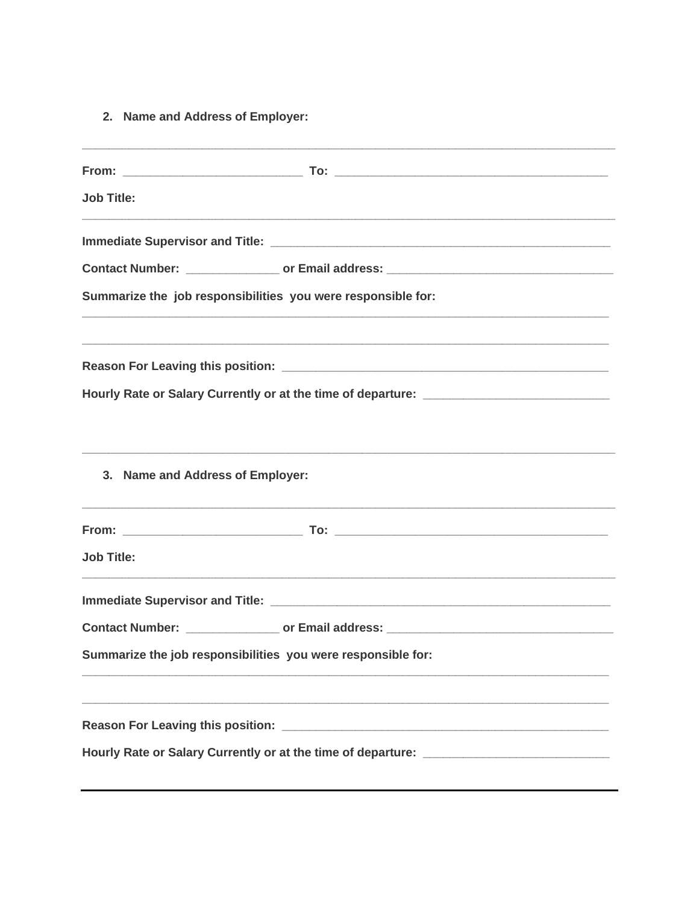2. Name and Address of Employer:

| <b>Job Title:</b>                                            |                                                                                                                                                                                                             |  |  |
|--------------------------------------------------------------|-------------------------------------------------------------------------------------------------------------------------------------------------------------------------------------------------------------|--|--|
|                                                              |                                                                                                                                                                                                             |  |  |
|                                                              | Contact Number: __________________ or Email address: ___________________________                                                                                                                            |  |  |
|                                                              | Summarize the job responsibilities you were responsible for:                                                                                                                                                |  |  |
|                                                              |                                                                                                                                                                                                             |  |  |
|                                                              | Hourly Rate or Salary Currently or at the time of departure: ____________________                                                                                                                           |  |  |
| 3. Name and Address of Employer:                             |                                                                                                                                                                                                             |  |  |
|                                                              |                                                                                                                                                                                                             |  |  |
| <b>Job Title:</b>                                            |                                                                                                                                                                                                             |  |  |
|                                                              |                                                                                                                                                                                                             |  |  |
|                                                              | Contact Number: __________________ or Email address: ___________________________                                                                                                                            |  |  |
| Summarize the job responsibilities you were responsible for: |                                                                                                                                                                                                             |  |  |
| <b>Reason For Leaving this position:</b>                     | <u> 2000 - Jan James James Jan James James Jan James James Jan James James Jan Jan James James Jan Jan James Jan J</u><br>Hourly Rate or Salary Currently or at the time of departure: ____________________ |  |  |
|                                                              |                                                                                                                                                                                                             |  |  |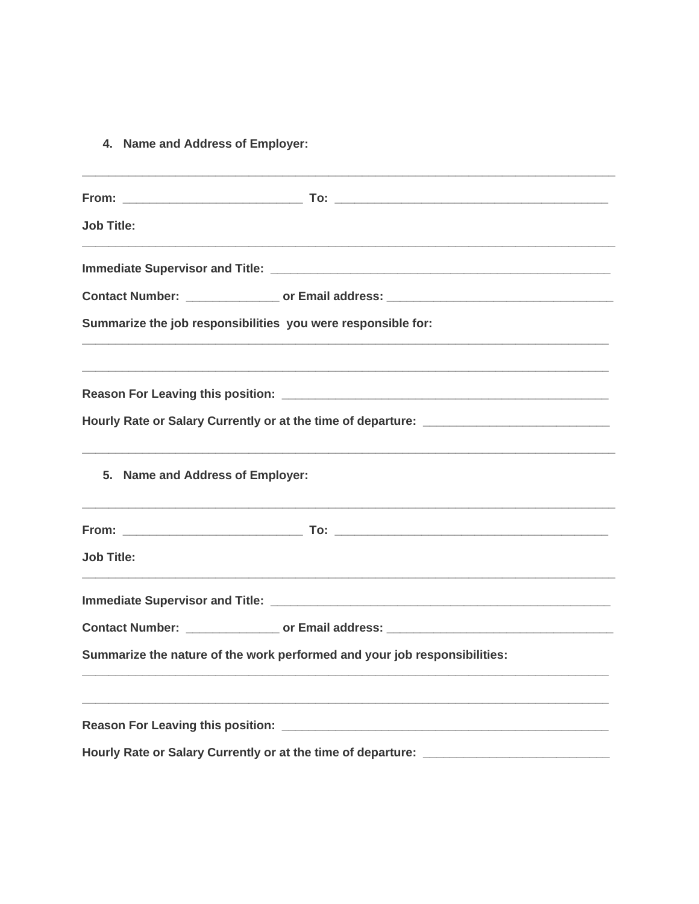4. Name and Address of Employer:

| <b>Job Title:</b>                |                                                                                                                |  |
|----------------------------------|----------------------------------------------------------------------------------------------------------------|--|
|                                  | Immediate Supervisor and Title: National According to the According of the According of the According of the A |  |
|                                  | Contact Number: _________________ or Email address: ____________________________                               |  |
|                                  | Summarize the job responsibilities you were responsible for:                                                   |  |
|                                  |                                                                                                                |  |
|                                  | Hourly Rate or Salary Currently or at the time of departure: __________________________                        |  |
| 5. Name and Address of Employer: |                                                                                                                |  |
|                                  |                                                                                                                |  |
| <b>Job Title:</b>                |                                                                                                                |  |
|                                  |                                                                                                                |  |
|                                  |                                                                                                                |  |
|                                  | Summarize the nature of the work performed and your job responsibilities:                                      |  |
|                                  |                                                                                                                |  |
|                                  |                                                                                                                |  |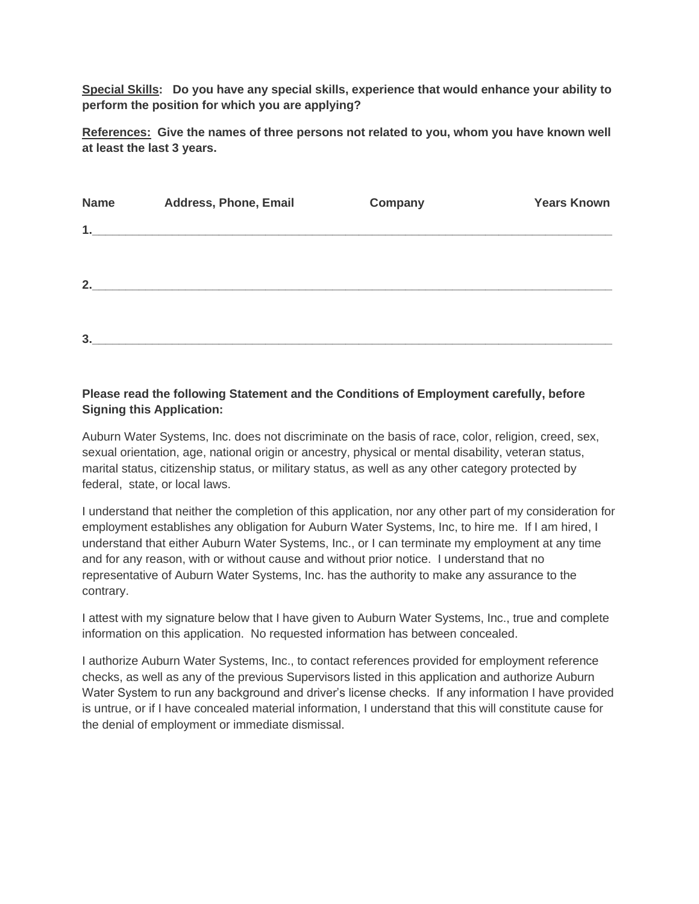**Special Skills: Do you have any special skills, experience that would enhance your ability to perform the position for which you are applying?**

**References: Give the names of three persons not related to you, whom you have known well at least the last 3 years.**

| <b>Name</b> | <b>Address, Phone, Email</b> | Company | <b>Years Known</b> |
|-------------|------------------------------|---------|--------------------|
| 1.          |                              |         |                    |
|             |                              |         |                    |
| 2.          |                              |         |                    |
|             |                              |         |                    |
| 3.          |                              |         |                    |

## **Please read the following Statement and the Conditions of Employment carefully, before Signing this Application:**

Auburn Water Systems, Inc. does not discriminate on the basis of race, color, religion, creed, sex, sexual orientation, age, national origin or ancestry, physical or mental disability, veteran status, marital status, citizenship status, or military status, as well as any other category protected by federal, state, or local laws.

I understand that neither the completion of this application, nor any other part of my consideration for employment establishes any obligation for Auburn Water Systems, Inc, to hire me. If I am hired, I understand that either Auburn Water Systems, Inc., or I can terminate my employment at any time and for any reason, with or without cause and without prior notice. I understand that no representative of Auburn Water Systems, Inc. has the authority to make any assurance to the contrary.

I attest with my signature below that I have given to Auburn Water Systems, Inc., true and complete information on this application. No requested information has between concealed.

I authorize Auburn Water Systems, Inc., to contact references provided for employment reference checks, as well as any of the previous Supervisors listed in this application and authorize Auburn Water System to run any background and driver's license checks. If any information I have provided is untrue, or if I have concealed material information, I understand that this will constitute cause for the denial of employment or immediate dismissal.